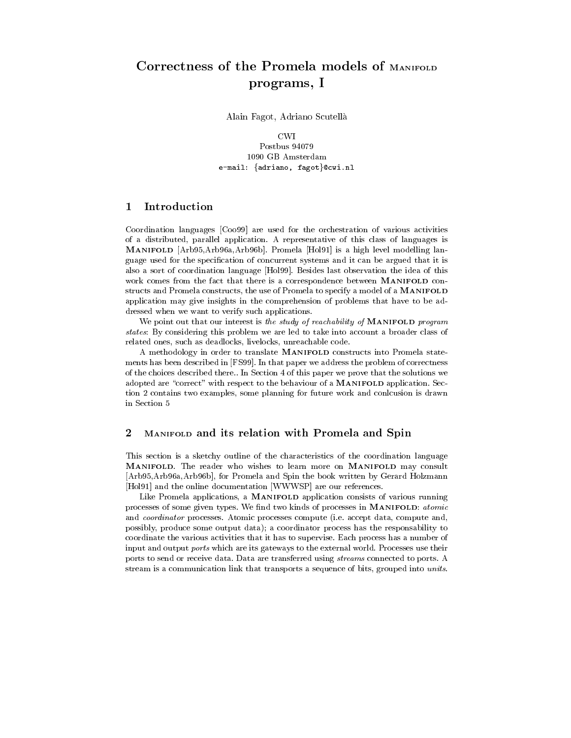# programs, Indian Section 2014, Indian Section 2014, Indian Section 2014, Indian Section 2014

Alain Fagot, Adriano Scutella

**CWI** Postbus 94079 1090 GB Amsterdam e-mail: {adriano, fagot}@cwi.nl

#### **Introduction** 1

Coordination languages [Coo99] are used for the orchestration of various activities of a distributed, parallel application. A representative of this class of languages is MANIFOLD [Arb95,Arb96a,Arb96b]. Promela [Hol91] is a high level modelling language used for the specification of concurrent systems and it can be argued that it is also a sort of coordination language [Hol99]. Besides last observation the idea of this work comes from the fact that there is a correspondence between MANIFOLD con structs and Promela constructs, the use of Promela to specify a model of a MANIFOLD application may give insights in the comprehension of problems that have to be addressed when we want to verify such applications.

We point out that our interest is the study of reachability of MANIFOLD program states: By considering this problem we are led to take into account a broader class of related ones, such as deadlocks, livelocks, unreachable code.

A methodology in order to translate MANIFOLD constructs into Promela state ments has been described in [FS99]. In that paper we address the problem of correctness of the choices described there.. In Section 4 of this paper we prove that the solutions we adopted are "correct" with respect to the behaviour of a MANIFOLD application. Section 2 contains two examples, some planning for future work and conlcusion is drawn in Section 5

## 2 MANIFOLD and its relation with Promela and Spin

This section is a sketchy outline of the characteristics of the coordination language MANIFOLD. The reader who wishes to learn more on MANIFOLD may consult [Arb95,Arb96a,Arb96b], for Promela and Spin the book written by Gerard Holzmann [Hol91] and the online documentation [WWWSP] are our references.

Like Promela applications, a MANIFOLD application consists of various running processes of some given types. We find two kinds of processes in MANIFOLD: atomic and coordinator processes. Atomic processes compute (i.e. accept data, compute and, possibly, produce some output data); a coordinator process has the responsability to coordinate the various activities that it has to supervise. Each process has a number of input and output ports which are its gateways to the external world. Processes use their ports to send or receive data. Data are transferred using streams connected to ports. A stream is a communication link that transports a sequence of bits, grouped into units.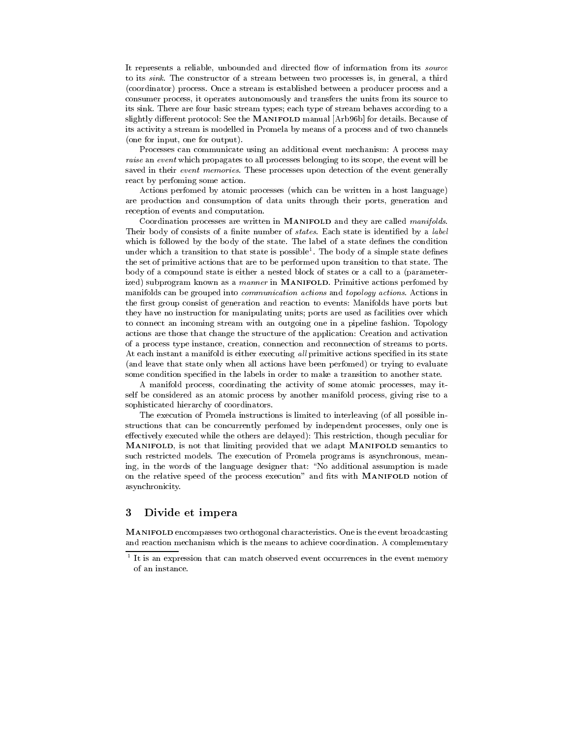It represents a reliable, unbounded and directed flow of information from its *source* to its sink. The constructor of a stream between two processes is, in general, a third (coordinator) process. Once a stream is established between a producer process and a consumer process, it operates autonomously and transfers the units from its source to its sink. There are four basic stream types; each type of stream behaves according to a slightly different protocol: See the MANIFOLD manual [Arb96b] for details. Because of its activity a stream is modelled in Promela by means of a process and of two channels (one for input, one for output).

Processes can communicate using an additional event mechanism: A process may raise an event which propagates to all processes belonging to its scope, the event will be saved in their *event memories*. These processes upon detection of the event generally react by perfoming some action.

Actions perfomed by atomic processes (which can be written in a host language) are production and consumption of data units through their ports, generation and reception of events and computation.

Coordination processes are written in MANIFOLD and they are called manifolds. Their body of consists of a finite number of *states*. Each state is identified by a *label* which is followed by the body of the state. The label of a state defines the condition under which a transition to that state is possible1 . The body of a simple state denes the set of primitive actions that are to be performed upon transition to that state. The body of a compound state is either a nested block of states or a call to a (parameterized) subprogram known as a *manner* in MANIFOLD. Primitive actions perfomed by manifolds can be grouped into communication actions and topology actions. Actions in the first group consist of generation and reaction to events: Manifolds have ports but they have no instruction for manipulating units; ports are used as facilities over which to connect an incoming stream with an outgoing one in a pipeline fashion. Topology actions are those that change the structure of the application: Creation and activation of a process type instance, creation, connection and reconnection of streams to ports. At each instant a manifold is either executing all primitive actions specified in its state (and leave that state only when all actions have been perfomed) or trying to evaluate some condition specied in the labels in order to make a transition to another state.

A manifold process, coordinating the activity of some atomic processes, may itself be considered as an atomic process by another manifold process, giving rise to a sophisticated hierarchy of coordinators.

The execution of Promela instructions is limited to interleaving (of all possible instructions that can be concurrently perfomed by independent processes, only one is effectively executed while the others are delayed): This restriction, though peculiar for MANIFOLD, is not that limiting provided that we adapt MANIFOLD semantics to such restricted models. The execution of Promela programs is asynchronous, meaning, in the words of the language designer that: "No additional assumption is made on the relative speed of the process execution" and fits with MANIFOLD notion of asynchronicity.

## 3 Divide et impera

MANIFOLD encompasses two orthogonal characteristics. One is the event broadcasting and reaction mechanism which is the means to achieve coordination. A complementary

<sup>1</sup> It is an expression that can match observed event occurrences in the event memory of an instance.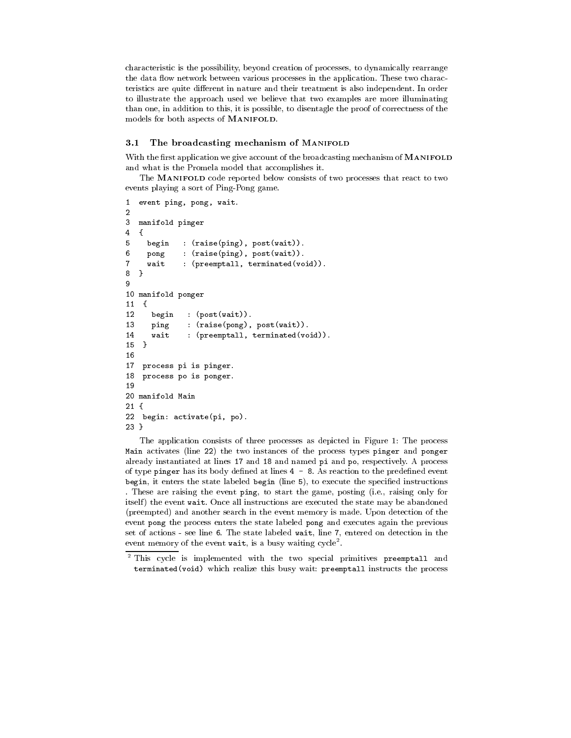characteristic is the possibility, beyond creation of processes, to dynamically rearrange the data flow network between various processes in the application. These two characteristics are quite different in nature and their treatment is also independent. In order to illustrate the approach used we believe that two examples are more illuminating than one, in addition to this, it is possible, to disentagle the proof of correctness of the models for both aspects of MANIFOLD.

## 3.1 The broadcasting mechanism of MANIFOLD

With the first application we give account of the broadcasting mechanism of **MANIFOLD** and what is the Promela model that accomplishes it.

The MANIFOLD code reported below consists of two processes that react to two events playing a sort of Ping-Pong game.

```
\mathbf{1}event ping, pong, wait.
\overline{2}\overline{3}manifold pinger
\overline{4}\mathfrak{f}5 begin : (raise(ping), post(wait)).
     pong : (raise(ping), post(wait)).
6
7 wait : (preemptall, terminated(void)).
   J.
8 }
9
10 manifold ponger
11 {
12 begin : (post(wait)).
13 ping : (raise(pong), post(wait)).
14 wait : (preemptall, terminated(void)).
      wait
15
15 15 15 15 15 15 16 16 17 16 17 16 17 16 17 16 17 16 17 16 17 16 17 16 17 16
16
17 process pi is pinger.
18 process po is ponger.
19
20 manifold Main
21 {
22 begin: activate(pi, po).
23 }
```
The application consists of three processes as depicted in Figure 1: The process Main activates (line 22) the two instances of the process types pinger and ponger already instantiated at lines 17 and 18 and named pi and po, respectively. A process of type pinger has its body defined at lines  $4 - 8$ . As reaction to the predefined event begin, it enters the state labeled begin (line  $5$ ), to execute the specified instructions . These are raising the event ping, to start the game, posting (i.e., raising only for itself) the event wait. Once all instructions are executed the state may be abandoned (preempted) and another search in the event memory is made. Upon detection of the event pong the process enters the state labeled pong and executes again the previous set of actions - see line 6. The state labeled wait, line 7, entered on detection in the event memory of the event wait, is a busy waiting cycle<sup>-</sup>.

<sup>2</sup> This cycle is implemented with the two special primitives preemptall and terminated(void) which realize this busy wait: preemptall instructs the process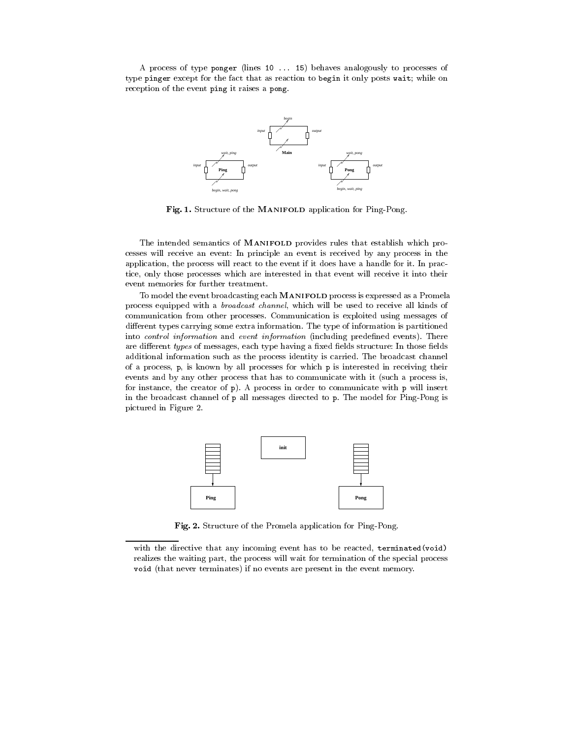A process of type ponger (lines 10 ... 15) behaves analogously to processes of type pinger except for the fact that as reaction to begin it only posts wait; while on reception of the event ping it raises a pong.



Fig. 1. Structure of the MANIFOLD application for Ping-Pong.

The intended semantics of MANIFOLD provides rules that establish which pro cesses will receive an event: In principle an event is received by any process in the application, the process will react to the event if it does have a handle for it. In practice, only those processes which are interested in that event will receive it into their event memories for further treatment.

To model the event broadcasting each MANIFOLD process is expressed as a Promela process equipped with a broadcast channel, which will be used to receive all kinds of communication from other processes. Communication is exploited using messages of different types carrying some extra information. The type of information is partitioned into *control information* and *event information* (including predefined events). There are different types of messages, each type having a fixed fields structure: In those fields additional information such as the process identity is carried. The broadcast channel of a process, p, is known by all processes for which p is interested in receiving their events and by any other process that has to communicate with it (such a process is, for instance, the creator of p). A process in order to communicate with p will insert in the broadcast channel of p all messages directed to p. The model for Ping-Pong is pictured in Figure 2.



Fig. 2. Structure of the Promela application for Ping-Pong.

with the directive that any incoming event has to be reacted, terminated(void) realizes the waiting part, the process will wait for termination of the special process void (that never terminates) if no events are present in the event memory.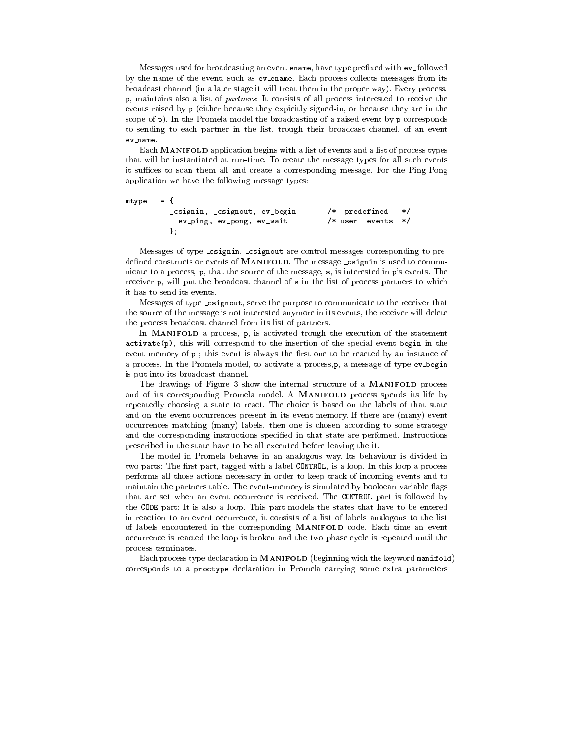Messages used for broadcasting an event ename, have type prefixed with  $ev\_followed$ by the name of the event, such as ev ename. Each process collects messages from its broadcast channel (in a later stage it will treat them in the proper way). Every process, p, maintains also a list of partners: It consists of all process interested to receive the events raised by p (either because they expicitly signed-in, or because they are in the scope of p). In the Promela model the broadcasting of a raised event by p corresponds to sending to each partner in the list, trough their broadcast channel, of an event ev name.

Each MANIFOLD application begins with a list of events and a list of process types that will be instantiated at run-time. To create the message types for all such events it suffices to scan them all and create a corresponding message. For the Ping-Pong application we have the following message types:

```
mtype = {_csignin, _csignout, ev_begin /* predefined */
         ev_ping, ev_pong, ev_wait /* user events
                                                      \ast/};
```
Messages of type csignin, csignout are control messages corresponding to predefined constructs or events of MANIFOLD. The message csignin is used to communicate to a process, p, that the source of the message, s, is interested in p's events. The receiver p, will put the broadcast channel of s in the list of process partners to which it has to send its events.

Messages of type \_csignout, serve the purpose to communicate to the receiver that the source of the message is not interested anymore in its events, the receiver will delete the process broadcast channel from its list of partners.

In MANIFOLD a process, p, is activated trough the execution of the statement activate(p), this will correspond to the insertion of the special event begin in the event memory of  $p$ ; this event is always the first one to be reacted by an instance of a process. In the Promela model, to activate a process,p, a message of type ev begin is put into its broadcast channel.

The drawings of Figure 3 show the internal structure of a MANIFOLD process and of its corresponding Promela model. A MANIFOLD process spends its life by repeatedly choosing a state to react. The choice is based on the labels of that state and on the event occurrences present in its event memory. If there are (many) event occurrences matching (many) labels, then one is chosen according to some strategy and the corresponding instructions specied in that state are perfomed. Instructions prescribed in the state have to be all executed before leaving the it.

The model in Promela behaves in an analogous way. Its behaviour is divided in two parts: The first part, tagged with a label CONTROL, is a loop. In this loop a process performs all those actions necessary in order to keep track of incoming events and to maintain the partners table. The event-memory is simulated by booloean variable flags that are set when an event occurrence is received. The CONTROL part is followed by the CODE part: It is also a loop. This part models the states that have to be entered in reaction to an event occurrence, it consists of a list of labels analogous to the list of labels encountered in the corresponding MANIFOLD code. Each time an event occurrence is reacted the loop is broken and the two phase cycle is repeated until the process terminates. process terminates terminates. The contract of the contract of the contract of the contract of the contract of

Each process type declaration in MANIFOLD (beginning with the keyword manifold) corresponds to a proctype declaration in Promela carrying some extra parameters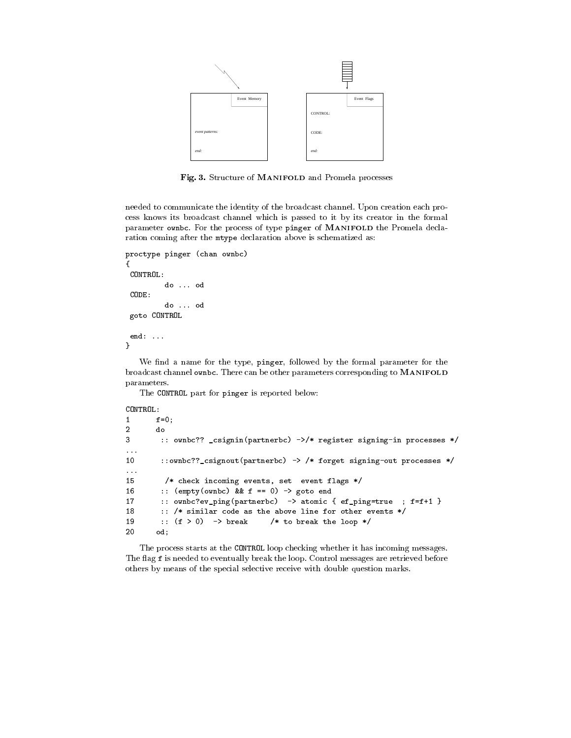

Fig. 3. Structure of MANIFOLD and Promela processes

needed to communicate the identity of the broadcast channel. Upon creation each pro cess knows its broadcast channel which is passed to it by its creator in the formal parameter ownbc. For the process of type pinger of MANIFOLD the Promela declaration coming after the mtype declaration above is schematized as:

```
proctype pinger (chan ownbc)
{
CONTROL:
         do ... od
         do ... od
goto CONTROL
end:...
}
```
We find a name for the type, pinger, followed by the formal parameter for the broadcast channel ownbc. There can be other parameters corresponding to MANIFOLD parameters.

The CONTROL part for pinger is reported below:

```
CONTROL:
```

```
f=0;\mathbf{1}3 :: ownbc?? _csignin(partnerbc) ->/* register signing-in processes */
10 ::ownbc??_csignout(partnerbc) -> /* forget signing-out processes */
\ddotsc15 /* check incoming events, set event flags */
16 :: (empty(ownbc) && f == 0) -> goto end
17 :: ownbc?ev_ping(partnerbc) -> atomic { ef_ping=true ; f=f+1 }
18 :: /* similar code as the above line for other events */
19 :: (f > 0) -> break /* to break the loop */
20 od;
```
The process starts at the CONTROL loop checking whether it has incoming messages. The flag f is needed to eventually break the loop. Control messages are retrieved before others by means of the special selective receive with double question marks.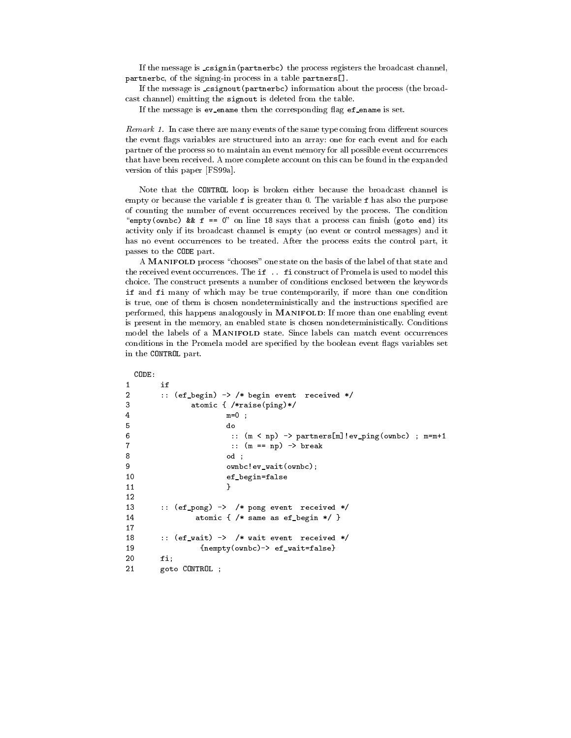If the message is csignin(partnerbc) the process registers the broadcast channel, partnerbc, of the signing-in process in a table partners[].

If the message is csignout(partnerbc) information about the process (the broadcast channel) emitting the signout is deleted from the table.

If the message is ev\_ename then the corresponding flag ef\_ename is set.

*Remark 1.* In case there are many events of the same type coming from different sources the event flags variables are structured into an array: one for each event and for each partner of the process so to maintain an event memory for all possible event occurrences that have been received. A more complete account on this can be found in the expanded version of this paper [FS99a].

Note that the CONTROL loop is broken either because the broadcast channel is empty or because the variable f is greater than 0. The variable f has also the purpose of counting the number of event occurrences received by the process. The condition "empty(ownbc) &&  $f = 0$ " on line 18 says that a process can finish (goto end) its activity only if its broadcast channel is empty (no event or control messages) and it has no event occurrences to be treated. After the process exits the control part, it passes to the CODE part.

A MANIFOLD process "chooses" one state on the basis of the label of that state and the received event occurrences. The if .. fi construct of Promela is used to model this choice. The construct presents a number of conditions enclosed between the keywords if and fi many of which may be true contemporarily, if more than one condition is true, one of them is chosen nondeterministically and the instructions specied are performed, this happens analogously in MANIFOLD: If more than one enabling event is present in the memory, an enabled state is chosen nondeterministically. Conditions model the labels of a MANIFOLD state. Since labels can match event occurrences conditions in the Promela model are specified by the boolean event flags variables set in the CONTROL part.

```
\mathbf{1}if
\overline{a}2 :: (ef_begin) -> /* begin event received */
3 atomic { /*raise(ping)*/
\mathbf{1}6 :: (m < np) -> partners[m]!ev_ping(ownbc) ; m=m+1
7 :: (m == np) -> break
8 od ;
9
                    ownbc!ev_wait(ownbc);
10 ef_begin=false
                    Υ
11.1 11.1 11.1 11.1 11.1 11.1 11.1 11.1 11.1 11.1 11.1 11.1 11.1 11.11213 :: (ef_pong) -> /* pong event received */
14
              atomic \{ /* same as ef_begin */ }
1718 :: (ef_wait) -> /* wait event received */
19 {new(y(0) \rightarrow ef_wait=false)}
20
      fi;
21goto CONTROL ;
```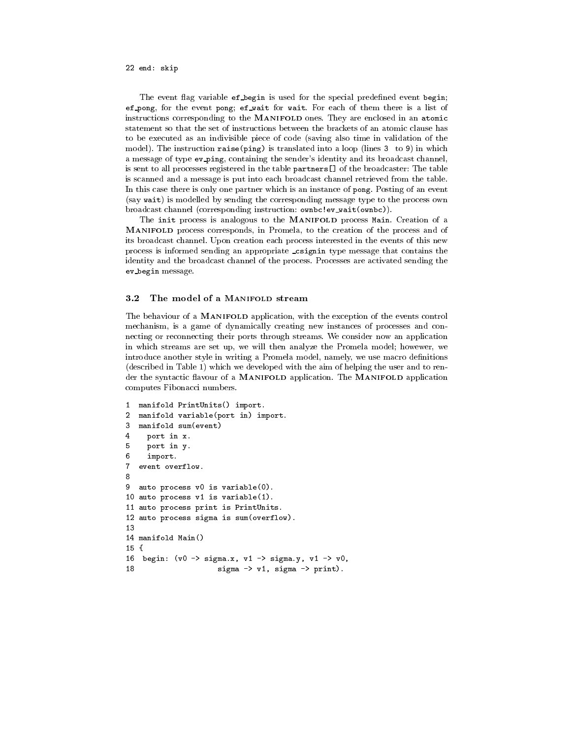### 22 end: skip

The event flag variable ef-begin is used for the special predefined event begin; ef pong, for the event pong; ef wait for wait. For each of them there is a list of instructions corresponding to the MANIFOLD ones. They are enclosed in an atomic statement so that the set of instructions between the brackets of an atomic clause has to be executed as an indivisible piece of code (saving also time in validation of the model). The instruction raise(ping) is translated into a loop (lines 3 to 9) in which a message of type ev ping, containing the sender's identity and its broadcast channel, is sent to all processes registered in the table partners[] of the broadcaster: The table is scanned and a message is put into each broadcast channel retrieved from the table. In this case there is only one partner which is an instance of pong. Posting of an event (say wait) is modelled by sending the corresponding message type to the process own broadcast channel (corresponding instruction: ownbc!ev wait(ownbc)).

The init process is analogous to the MANIFOLD process Main. Creation of a MANIFOLD process corresponds, in Promela, to the creation of the process and of its broadcast channel. Upon creation each process interested in the events of this new process is informed sending an appropriate csignin type message that contains the identity and the broadcast channel of the process. Processes are activated sending the ev begin message.

#### $3.2$ The model of a MANIFOLD stream

The behaviour of a MANIFOLD application, with the exception of the events control mechanism, is a game of dynamically creating new instances of processes and con necting or reconnecting their ports through streams. We consider now an application in which streams are set up, we will then analyze the Promela model; howewer, we introduce another style in writing a Promela model, namely, we use macro definitions (described in Table 1) which we developed with the aim of helping the user and to render the syntactic flavour of a MANIFOLD application. The MANIFOLD application computes Fibonacci numbers.

```
1 manifold PrintUnits() import.
2 manifold variable(port in) import.
3
   manifold sum(event)
\overline{4}port in x.
5
     port in y.
6
     import.
7 event overflow.
8
9
   auto process v0 is variable(0).
10 auto process v1 is variable(1).
11 auto process print is PrintUnits.
12 auto process sigma is sum(overflow).
1314 manifold Main()
15 \text{ } f15 {
16 begin: (v0 \rightarrow signa.x, v1 \rightarrow signa.y, v1 \rightarrow v0,
18
                        sigma \rightarrow v1, sigma \rightarrow print).
```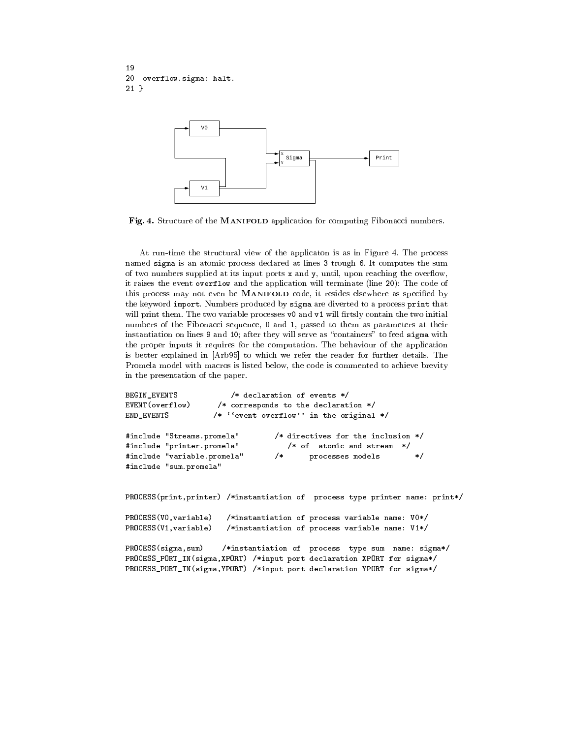```
19
20 overflow.sigma: halt.
21 }
```


Fig. 4. Structure of the MANIFOLD application for computing Fibonacci numbers.

At run-time the structural view of the applicaton is as in Figure 4. The process named sigma is an atomic process declared at lines 3 trough 6. It computes the sum of two numbers supplied at its input ports  $x$  and  $y$ , until, upon reaching the overflow, it raises the event overflow and the application will terminate (line 20): The code of this process may not even be MANIFOLD code, it resides elsewhere as specified by the keyword import. Numbers produced by sigma are diverted to a process print that will print them. The two variable processes  $\nabla \cdot \mathbf{v}$  and  $\nabla \cdot \mathbf{v}$  will firtsly contain the two initial numbers of the Fibonacci sequence, 0 and 1, passed to them as parameters at their instantiation on lines 9 and 10; after they will serve as "containers" to feed sigma with the proper inputs it requires for the computation. The behaviour of the application is better explained in [Arb95] to which we refer the reader for further details. The Promela model with macros is listed below, the code is commented to achieve brevity in the presentation of the paper.

```
BEGIN_EVENTS /* declaration of events */
EVENT(overflow) /* corresponds to the declaration */
END_EVENTS /* ''event overflow'' in the original */
#include "Streams.promela" /* directives for the inclusion */
#include "printer.promela" /* of atomic and stream */
#include "variable.promela" /* processes models */
                               /*
#include "sum.promela"
PROCESS(print,printer) /*instantiation of process type printer name: print*/
PROCESS(V0,variable) /*instantiation of process variable name: V0*/
PROCESS(V1,variable) /*instantiation of process variable name: V1*/
```
PROCESS(sigma,sum) /\*instantiation of process type sum name: sigma\*/ PROCESS\_PORT\_IN(sigma,XPORT) /\*input port declaration XPORT for sigma\*/ PROCESS\_PORT\_IN(sigma,YPORT) /\*input port declaration YPORT for sigma\*/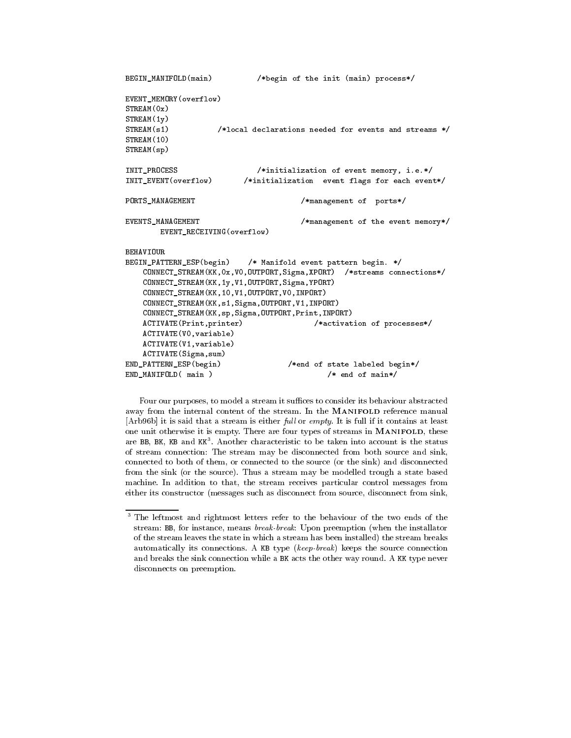```
BEGIN_MANIFOLD(main) /*begin of the init (main) process*/
EVENT_MEMORY(overflow)
STREAM(0x)
STREAM(1y)
STREAM(s1) /*local declarations needed for events and streams */
STREAM(10)
STREAM(sp)
INIT_PROCESS /*initialization of event memory, i.e.*/
INIT_EVENT(overflow) /*initialization event flags for each event*/
PORTS_MANAGEMENT /*management of ports*/
EVENTS_MANAGEMENT /*management of the event memory*/
      EVENT_RECEIVING(overflow)
BEHAVIOUR
BEGIN_PATTERN_ESP(begin) /* Manifold event pattern begin. */
   CONNECT_STREAM(KK,0x,V0,OUTPORT,Sigma,XPORT) /*streams connections*/
   CONNECT_STREAM(KK,1y,V1,OUTPORT,Sigma,YPORT)
   CONNECT_STREAM(KK,10,V1,OUTPORT,V0,INPORT)
   CONNECT_STREAM(KK,s1,Sigma,OUTPORT,V1,INPORT)
   CONNECT_STREAM(KK,sp,Sigma,OUTPORT,Print,INPORT)
   ACTIVATE(Print,printer) /*activation of processes*/
   ACTIVATE(V0,variable)
   ACTIVATE(V1,variable)
   ACTIVATE(Sigma,sum)
END_PATTERN_ESP(begin) /*end of state labeled begin*/
END_MANIFOLD(main) /* end of main*/
```
Four our purposes, to model a stream it suffices to consider its behaviour abstracted away from the internal content of the stream. In the MANIFOLD reference manual [Arb96b] it is said that a stream is either  $full$  or  $empty$ . It is full if it contains at least one unit otherwise it is empty. There are four types of streams in MANIFOLD, these are BB, BK, KB and KK". Another characteristic to be taken into account is the status of stream connection: The stream maybe disconnected from both source and sink, connected to both of them, or connected to the source (or the sink) and disconnected from the sink (or the source). Thus a stream may be modelled trough a state based machine. In addition to that, the stream receives particular control messages from either its constructor (messages such as disconnect from source, disconnect from sink,

 $^\circ$  The leftmost and rightmost letters refer to the behaviour of the two ends of the  $^\circ$ stream: BB, for instance, means break-break: Upon preemption (when the installator of the stream leaves the state in which a stream has been installed) the stream breaks automatically its connections. A KB type (keep-break) keeps the source connection and breaks the sink connection while a BK acts the other way round. A KK type never disconnects on preemption.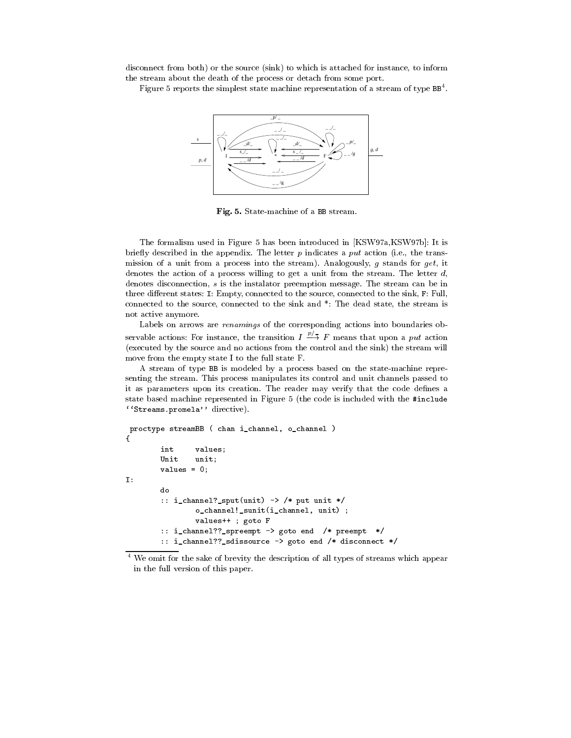disconnect from both) or the source (sink) to which is attached for instance, to inform the stream about the death of the process or detach from some port.

Figure 5 reports the simplest state machine representation of a stream of type BB<sup>4</sup> .



Fig. 5. State-machine of a BB stream.

The formalism used in Figure 5 has been introduced in [KSW97a,KSW97b]: It is briefly described in the appendix. The letter  $p$  indicates a put action (i.e., the transmission of a unit from a process into the stream). Analogously, g stands for get, it denotes the action of a process willing to get a unit from the stream. The letter  $d_i$ denotes disconnection, s is the instalator preemption message. The stream can be in three different states: I: Empty, connected to the source, connected to the sink,  $F$ : Full, connected to the source, connected to the sink and \*: The dead state, the stream is not active anymore.

Labels on arrows are renamings of the corresponding actions into boundaries ob servable actions: For instance, the transition  $I \stackrel{\sim}{\rightarrow} F$  means that upon a put action (executed by the source and no actions from the control and the sink) the stream will move from the empty state I to the full state F.

A stream of type BB is modeled by a process based on the state-machine repre senting the stream. This process manipulates its control and unit channels passed to it as parameters upon its creation. The reader may verify that the code defines a state based machine represented in Figure 5 (the code is included with the #include  $'$ 'Streams.promela'' directive).

```
proctype streamBB ( chan i_channel, o_channel )
{
       int values;
       Unit unit;
       values = 0;
       do
        :: i_channel?_sput(unit) -> /* put unit */
               o_channel!_sunit(i_channel, unit) ;
               values++ ; goto F
        :: i_channel??_spreempt -> goto end /* preempt */
        :: i_channel??_sdissource -> goto end /* disconnect */
```
<sup>4</sup> We omit for the sake of brevity the description of all types of streams which appear in the full version of this paper.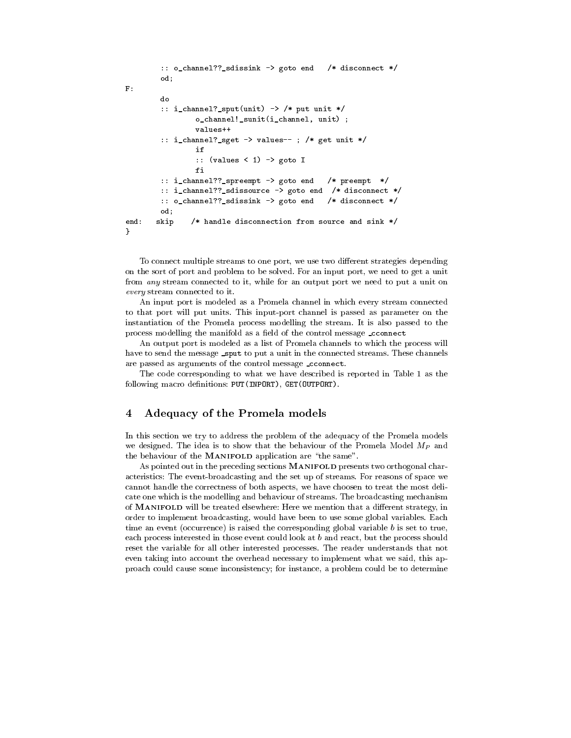```
:: o_channel??_sdissink -> goto end /* disconnect */
       od;
       do
       :: i_channel?_sput(unit) -> /* put unit */
               o_channel!_sunit(i_channel, unit) ;
       :: i_channel?_sget -> values-- ; /* get unit */
               if
               :: (values < 1) -> goto I
       :: i_channel??_spreempt -> goto end /* preempt */
       :: i_channel??_sdissource -> goto end /* disconnect */
       :: o_channel??_sdissink -> goto end /* disconnect */
       od;
end: skip /* handle disconnection from source and sink */
}
```
To connect multiple streams to one port, we use two different strategies depending on the sort of port and problem to be solved. For an input port, we need to get a unit from any stream connected to it, while for an output port we need to put a unit on every stream connected to it.

An input port is modeled as a Promela channel in which every stream connected to that port will put units. This input-port channel is passed as parameter on the instantiation of the Promela process modelling the stream. It is also passed to the process modelling the manifold as a field of the control message \_cconnect

An output port is modeled as a list of Promela channels to which the process will have to send the message sput to put a unit in the connected streams. These channels are passed as arguments of the control message \_cconnect.

The code corresponding to what we have described is reported in Table 1 as the following macro definitions: PUT(INPORT), GET(OUTPORT).

#### $\overline{4}$ 4 Adequacy of the Promela models

In this section we try to address the problem of the adequacy of the Promela models we designed. The idea is to show that the behaviour of the Promela Model  $M_P$  and the behaviour of the MANIFOLD application are \the same".

As pointed out in the preceding sections MANIFOLD presents two orthogonal characteristics: The event-broadcasting and the set up of streams. For reasons of space we cannot handle the correctness of both aspects, we have choosen to treat the most delicate one which is the modelling and behaviour of streams. The broadcasting mechanism of MANIFOLD will be treated elsewhere: Here we mention that a different strategy, in order to implement broadcasting, would have been to use some global variables. Each time an event (occurrence) is raised the corresponding global variable  $b$  is set to true, each process interested in those event could look at b and react, but the process should reset the variable for all other interested processes. The reader understands that not even taking into account the overhead necessary to implement what we said, this approach could cause some inconsistency; for instance, a problem could be to determine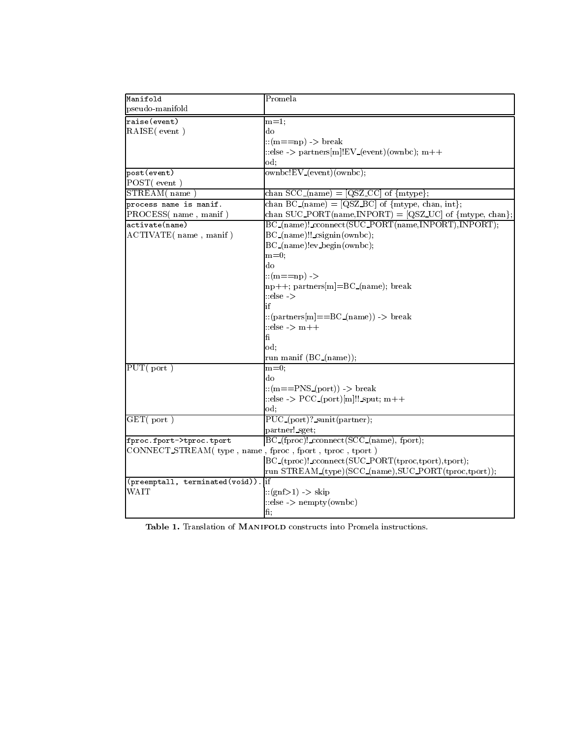| Manifold                                 | Promela                                                               |
|------------------------------------------|-----------------------------------------------------------------------|
| pseudo-manifold                          |                                                                       |
| raise (event)                            | $m=1$ ;                                                               |
| RAISE(event)                             | do                                                                    |
|                                          | $\therefore$ (m==np) -> break                                         |
|                                          | ::else -> partners[m]!EV_(event)(ownbc); m++                          |
|                                          | od:                                                                   |
| post(event)                              | ownbc!EV_(event)(ownbc);                                              |
| POST(event)                              |                                                                       |
| STREAM(name                              | chan $SCC_{\text{-}}(name) = [QSZ_{\text{-}}CC]$ of ${$ mtype};       |
| process name is manif.                   | chan $BC_{-}(name) = [QSZ_{-}BC]$ of $\{mtype, chan, int\}$ ;         |
| PROCESS(name, manif)                     | chan SUC_PORT(name,INPORT) = $[QSZ\_UC]$ of ${mtype, chan}$ ;         |
| activate(name)                           | BC_(name)!_cconnect(SUC_PORT(name,INPORT),INPORT);                    |
| ACTIVATE(name, manif)                    | BC_(name)!!_csignin(ownbc);                                           |
|                                          | BC_(name)!ev_begin(ownbc);                                            |
|                                          | $m=0$ ;                                                               |
|                                          | do                                                                    |
|                                          | $\therefore$ (m==np) ->                                               |
|                                          | $\vert$ np++; partners $\vert$ m $\vert$ =BC_(name); break            |
|                                          | $:$ else $\ge$                                                        |
|                                          | if                                                                    |
|                                          | ::(partners[m] = = $BC_{(name)}$ ) -> break                           |
|                                          | $:$ else $>$ m++                                                      |
|                                          | fi                                                                    |
|                                          | od:                                                                   |
|                                          | run manif (BC_(name));                                                |
| $\overline{\mathrm{PUT}(\mathrm{port})}$ | $\bar{m}=0;$                                                          |
|                                          | do                                                                    |
|                                          | $\therefore$ (m==PNS_(port)) -> break                                 |
|                                          | ::else -> $\text{PCC}_{port} [m]!!$ sput; m++                         |
|                                          | od:                                                                   |
| GET( <i>port</i> )                       | PUC <sub>(port)?_sunit(partner);</sub>                                |
|                                          | partner! sget;                                                        |
| fproc.fport->tproc.tport                 | BC_(fproc)!_cconnect(SCC_(name), fport);                              |
|                                          | CONNECT STREAM(type, name, fproc, fport, tproc, tport)                |
|                                          | BC_(tproc)!_cconnect(SUC_PORT(tproc,tport),tport);                    |
|                                          |                                                                       |
|                                          | run STREAM_(type)(SCC_(name),SUC_PORT(tproc,tport));<br><sup>if</sup> |
| (preemptall, terminated(void))           |                                                                       |
| WAIT                                     | $ $ : (gnf>1) -> skip                                                 |
|                                          | $::else$ -> nempty (ownbc)                                            |
|                                          | fi;                                                                   |

Table 1. Translation of MANIFOLD constructs into Promela instructions.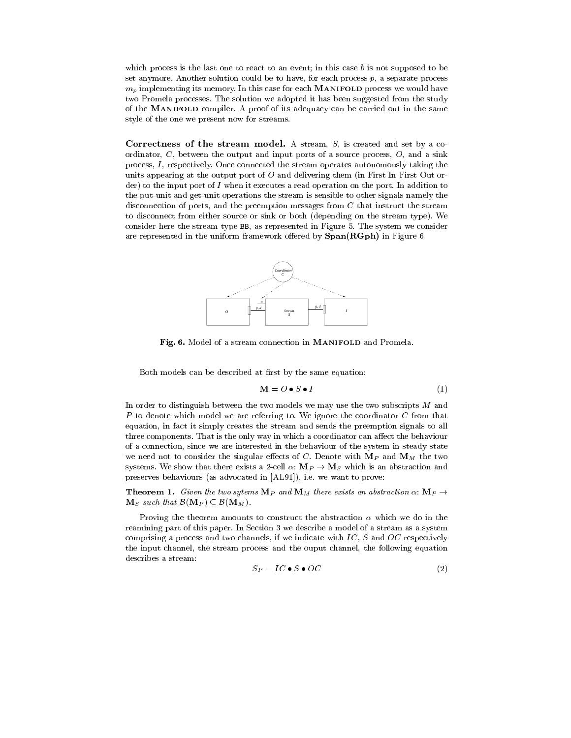which process is the last one to react to an event; in this case  $b$  is not supposed to be set anymore. Another solution could be to have, for each process  $p$ , a separate process  $m_p$  implementing its memory. In this case for each MANIFOLD process we would have two Promela processes. The solution we adopted it has been suggested from the study of the MANIFOLD compiler. A proof of its adequacy can be carried out in the same style of the one we present now for streams.

Correctness of the stream model. A stream,  $S<sub>1</sub>$  is created and set by a coordinator,  $C$ , between the output and input ports of a source process,  $O$ , and a sink process,  $I$ , respectively. Once connected the stream operates autonomously taking the units appearing at the output port of  $O$  and delivering them (in First In First Out order) to the input port of I when it executes a read operation on the port. In addition to the put-unit and get-unit operations the stream is sensible to other signals namely the disconnection of ports, and the preemption messages from C that instruct the stream to disconnect from either source or sink or both (depending on the stream type). We consider here the stream type BB, as represented in Figure 5. The system we consider are represented in the uniform framework offered by  $Span(RGph)$  in Figure 6



Fig. 6. Model of a stream connection in MANIFOLD and Promela.

Both models can be described at first by the same equation:

$$
\mathbf{M} = O \bullet S \bullet I \tag{1}
$$

In order to distinguish between the two models we may use the two subscripts  $M$  and  $P$  to denote which model we are referring to. We ignore the coordinator  $C$  from that equation, in fact it simply creates the stream and sends the preemption signals to all three components. That is the only way in which a coordinator can affect the behaviour of a connection, since we are interested in the behaviour of the system in steady-state we need not to consider the singular effects of C. Denote with  $M_P$  and  $M_M$  the two systems. We show that there exists a 2-cell  $\alpha: \mathbf{M}_P \to \mathbf{M}_S$  which is an abstraction and preserves behaviours (as advocated in [AL91]), i.e. we want to prove:

**Theorem 1.** Given the two sytems  $\mathbf{M}_P$  and  $\mathbf{M}_M$  there exists an abstraction  $\alpha$ :  $\mathbf{M}_P \rightarrow$  $\mathbf{M}_S$  such that  $\mathcal{B}(\mathbf{M}_P) \subseteq \mathcal{B}(\mathbf{M}_M)$ .

Proving the theorem amounts to construct the abstraction  $\alpha$  which we do in the reamining part of this paper. In Section 3 we describe a model of a stream as a system comprising a process and two channels, if we indicate with  $IC$ ,  $S$  and  $OC$  respectively the input channel, the stream process and the ouput channel, the following equation describes a stream:

$$
S_P = IC \bullet S \bullet OC \tag{2}
$$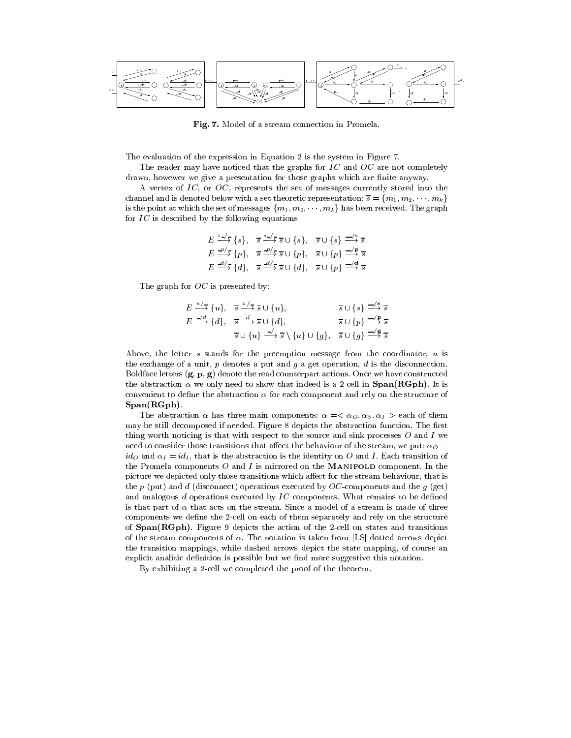

Fig. 7. Model of a stream connection in Promela.

The evaluation of the expression in Equation 2 is the system in Figure 7.

The reader may have noticed that the graphs for  $IC$  and  $OC$  are not completely drawn, howewer we give a presentation for those graphs which are finite anyway.

A vertex of IC, or OC, represents the set of messages currently stored into the channel and is denoted below with a set theoretic representation;  $\overline{s} = \{m_1, m_2, \dots, m_k\}$ is the point at which the set of messages  $\{m_1, m_2, \cdots, m_k\}$  has been received. The graph for IC is described by the following equations

$$
E \xrightarrow{s-f} \{s\}, \quad \overline{s} \xrightarrow{s-f} \overline{s} \cup \{s\}, \quad \overline{s} \cup \{s\} \xrightarrow{\underline{-\ell} \overline{s}} \overline{s}
$$
  

$$
E \xrightarrow{\underline{-p/f}} \{p\}, \quad \overline{s} \xrightarrow{\underline{-p/f}} \overline{s} \cup \{p\}, \quad \overline{s} \cup \{p\} \xrightarrow{\underline{-\ell} \overline{s}} \overline{s}
$$
  

$$
E \xrightarrow{\underline{-d/f}} \{d\}, \quad \overline{s} \xrightarrow{\underline{-d/f}} \overline{s} \cup \{d\}, \quad \overline{s} \cup \{p\} \xrightarrow{\underline{-\ell} \overline{s}} \overline{s}
$$

The graph for OC is presented by:

$$
E \xrightarrow{u/5} \{u\}, \quad \overline{s} \xrightarrow{u/5} \overline{s} \cup \{u\}, \quad \overline{s} \cup \{s\} \xrightarrow{\underline{\frown} s} \overline{s}
$$
  

$$
E \xrightarrow{\underline{\frown} d} \{d\}, \quad \overline{s} \xrightarrow{d} \overline{s} \cup \{d\}, \quad \overline{s} \cup \{p\} \xrightarrow{\underline{\frown} P} \overline{s}
$$
  

$$
\overline{s} \cup \{u\} \xrightarrow{\underline{\frown} s} \{u\} \cup \{g\}, \quad \overline{s} \cup \{g\} \xrightarrow{\underline{\frown} \xi} \overline{s}
$$

Above, the letter s stands for the preemption message from the coordinator, u is the exchange of a unit,  $p$  denotes a put and  $q$  a get operation,  $d$  is the disconnection. Boldface letters  $(g, p, g)$  denote the read counterpart actions. Once we have constructed the abstraction  $\alpha$  we only need to show that indeed is a 2-cell in Span(RGph). It is convenient to define the abstraction  $\alpha$  for each component and rely on the structure of Span(RGph).

The abstraction  $\alpha$  has three main components:  $\alpha = \alpha_0, \alpha_s, \alpha_l >$  each of them may be still decomposed if needed. Figure 8 depicts the abstraction function. The first thing worth noticing is that with respect to the source and sink processes  $O$  and  $I$  we need to consider those transitions that affect the behaviour of the stream, we put:  $\alpha_O =$ ido and  $\alpha_I = id_I$ , that is the abstraction is the identity on O and I. Each transition of the Promela components  $O$  and  $I$  is mirrored on the MANIFOLD component. In the picture we depicted only those transitions which affect for the stream behaviour, that is the p (put) and d (disconnect) operations executed by  $OC$ -components and the g (get) and analogous  $d$  operations executed by  $IC$  components. What remains to be defined is that part of  $\alpha$  that acts on the stream. Since a model of a stream is made of three components we define the 2-cell on each of them separately and rely on the structure of Span(RGph). Figure 9 depicts the action of the 2-cell on states and transitions of the stream components of  $\alpha$ . The notation is taken from [LS] dotted arrows depict the transition mappings, while dashed arrows depict the state mapping, of course an explicit analitic definition is possible but we find more suggestive this notation.

By exhibiting a 2-cell we completed the proof of the theorem.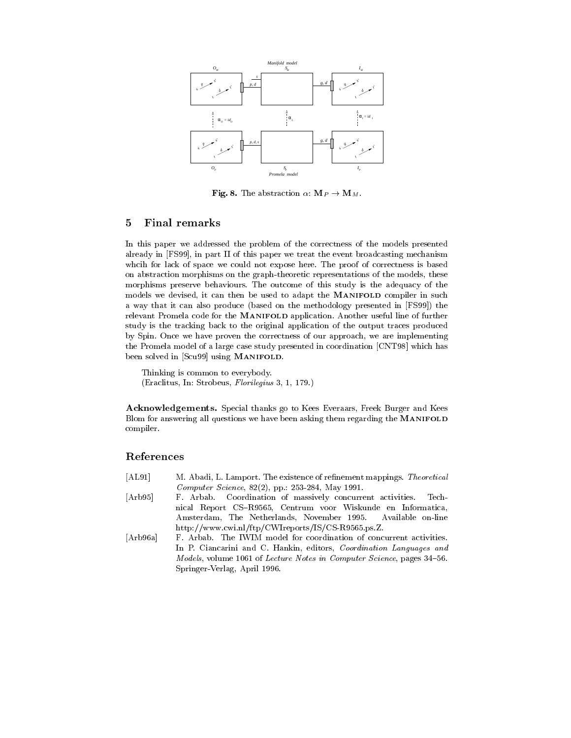

**Fig. 8.** The abstraction  $\alpha$ :  $\mathbf{M}_P \rightarrow \mathbf{M}_M$ .

#### $\overline{5}$ 5 Final remarks

In this paper we addressed the problem of the correctness of the models presented already in [FS99], in part II of this paper we treat the event broadcasting mechanism whcih for lack of space we could not expose here. The proof of correctness is based on abstraction morphisms on the graph-theoretic representations of the models, these morphisms preserve behaviours. The outcome of this study is the adequacy of the models we devised, it can then be used to adapt the MANIFOLD compiler in such a way that it can also produce (based on the methodology presented in [FS99]) the relevant Promela code for the MANIFOLD application. Another useful line of further study is the tracking back to the original application of the output traces produced by Spin. Once we have proven the correctness of our approach, we are implementing the Promela model of a large case study presented in coordination [CNT98] which has been solved in [Scu99] using MANIFOLD.

Thinking is common to everybody. (Eraclitus, In: Strobeus, Florilegius 3, 1, 179.)

Acknowledgements. Special thanks go to Kees Everaars, Freek Burger and Kees Blom for answering all questions we have been asking them regarding the MANIFOLD compiler.

# References

- [AL91] M. Abadi, L. Lamport. The existence of refinement mappings. Theoretical Computer Science, 82(2), pp.: 253-284, May 1991.
- [Arb95] F. Arbab. Coordination of massively concurrent activities. Technical Report CS-R9565, Centrum voor Wiskunde en Informatica, Amsterdam, The Netherlands, November 1995. Available on-line http://www.cwi.nl/ftp/CWIreports/IS/CS-R9565.ps.Z.
- [Arb96a] F. Arbab. The IWIM model for coordination of concurrent activities. In P. Ciancarini and C. Hankin, editors, Coordination Languages and Models, volume 1061 of Lecture Notes in Computer Science, pages 34-56. Springer-Verlag, April 1996.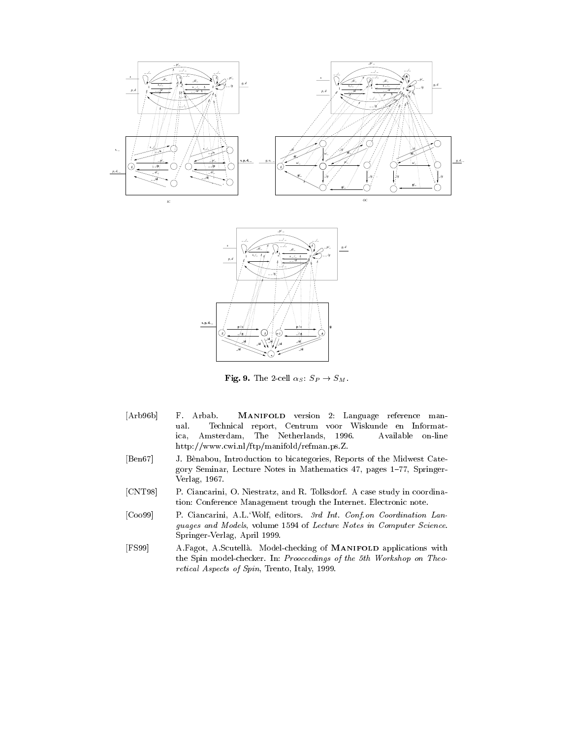



**Fig. 9.** The 2-cell  $\alpha_S$ :  $S_P \rightarrow S_M$ .

- [Arb96b] F. Arbab. MANIFOLD version 2: Language reference man ual. Technical report, Centrum voor Wiskunde en Informatica, Amsterdam, The Netherlands, 1996. Available on-line http://www.cwi.nl/ftp/manifold/refman.ps.Z.
- [Ben67] J. Benabou, Introduction to bicategories, Reports of the Midwest Category Seminar, Lecture Notes in Mathematics 47, pages 1-77, Springer-Verlag, 1967.
- [CNT98] P. Ciancarini, O. Niestratz, and R. Tolksdorf. A case study in coordination: Conference Management trough the Internet. Electronic note.
- [Coo99] P. Ciancarini, A.L.`Wolf, editors. 3rd Int. Conf.on Coordination Lan guages and Models, volume 1594 of Lecture Notes in Computer Science. Springer-Verlag, April 1999.
- [FS99] A.Fagot, A.Scutella. Model-checking of MANIFOLD applications with the Spin model-checker. In: Prooceedings of the 5th Workshop on Theo retical Aspects of Spin, Trento, Italy, 1999.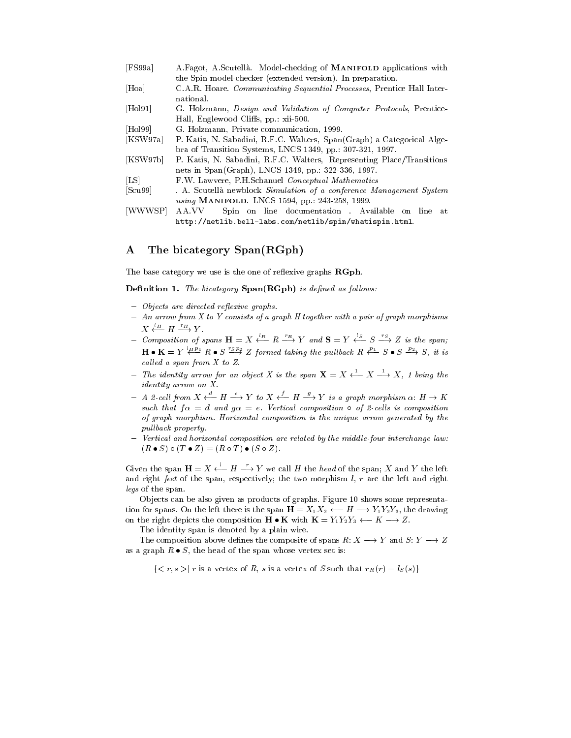| [FS99a]  | A. Fagot, A. Scutellà. Model-checking of <b>MANIFOLD</b> applications with     |
|----------|--------------------------------------------------------------------------------|
|          | the Spin model-checker (extended version). In preparation.                     |
| [Hoa]    | C.A.R. Hoare. <i>Communicating Sequential Processes</i> , Prentice Hall Inter- |
|          | national.                                                                      |
| [Hol91]  | G. Holzmann, <i>Design and Validation of Computer Protocols</i> , Prentice-    |
|          | Hall, Englewood Cliffs, pp. xii-500.                                           |
| [Hol99]  | G. Holzmann, Private communication, 1999.                                      |
| [KSW97a] | P. Katis, N. Sabadini, R.F.C. Walters, Span(Graph) a Categorical Alge-         |
|          | bra of Transition Systems, LNCS 1349, pp.: 307-321, 1997.                      |
| [KSW97b] | P. Katis, N. Sabadini, R.F.C. Walters, Representing Place/Transitions          |
|          | nets in Span(Graph), LNCS 1349, pp. 322-336, 1997.                             |
| [LS]     | F.W. Lawvere, P.H.Schanuel Conceptual Mathematics                              |
| [Scu99]  | . A. Scutellà newblock Simulation of a conference Management System            |
|          | using MANIFOLD. LNCS 1594, pp.: 243-258, 1999.                                 |
| [WWWSP]  | Spin on line documentation. Available on line at<br>AA.VV                      |
|          | $http://netlib.bell-labs.com/netlib/spin/whatispin.html.$                      |

http://netlib.bell-labs.com/netlib/spin/whatispin.html.

# A The bicategory Span(RGph)

The base category we use is the one of reflexive graphs  $\mathbf{RGph}$ .

 $D$ ennition 1. The orcategory Span(RGph) is aenned as follows.

- { Objects are directed re
exive graphs.
- { An arrow from X to Y consists of a graph H together with a pair of graph morphisms  $X \xleftarrow{l_H} H \xrightarrow{r_H} Y$ .  $\longrightarrow$  Y .
- Composition of spans  $H = X \stackrel{\prime n}{\leftarrow} R \stackrel{\prime n}{\longrightarrow} Y$  and  $S = Y \stackrel{\prime n}{\leftarrow} S \stackrel{\prime n}{\longrightarrow} Z$  is the span;  $H \bullet K = Y \stackrel{\rho \circ \rho}{\longleftrightarrow} R \bullet S \stackrel{\sigma \circ \rho}{\Longrightarrow} Z$  formed taking the pullback  $R \stackrel{\rho \circ \rho}{\longleftrightarrow} S \bullet S \stackrel{\tau \circ \rho}{\Longrightarrow} S$ , it is called a span from  $X$  to  $Z$ .
- ${\cal T}$  The identity arrow for an object X is the span  ${\bf X} = X \leftarrow X \rightarrow X$ , 1 being the identity arrow on X.
- ${A \; 2\; cell\; from\; X \leftarrow H \longrightarrow Y \; to\; X \leftarrow H \longrightarrow Y \; is\; a\; graph\; morphism\; } {\alpha \colon H \rightarrow K}$ such that  $f \alpha = d$  and  $g \alpha = e$ . Vertical composition  $\circ$  of 2-cells is composition of graph morphism. Horizontal composition is the unique arrow generated by the pullback property.
- { Vertical and horizontal composition are related by the midd le-four interchange law:  $(R \bullet S) \circ (T \bullet Z) = (R \circ T) \bullet (S \circ Z).$

Given the span  $H = X \stackrel{l}{\leftarrow} H \stackrel{r}{\longrightarrow} Y$  we call H the head of the span; X and Y the left and right feet of the span, respectively; the two morphism  $l, r$  are the left and right legs of the span.

Ob jects can be also given as products of graphs. Figure 10 shows some representation for spans. On the left there is the span  $H = X_1 X_2 \leftarrow H \longrightarrow Y_1 Y_2 Y_3$ , the drawing on the right depicts the composition  $H \bullet K$  with  $K = Y_1 Y_2 Y_3 \leftarrow K \rightarrow Z$ .

The identity span is denoted by a plain wire.

The composition above defines the composite of spans R:  $X \longrightarrow Y$  and  $S: Y \longrightarrow Z$ as a graph  $R \bullet S$ , the head of the span whose vertex set is:

 $\{ \langle r, s \rangle | r \text{ is a vertex of } R, s \text{ is a vertex of } S \text{ such that } r_R(r) = l_S(s) \}$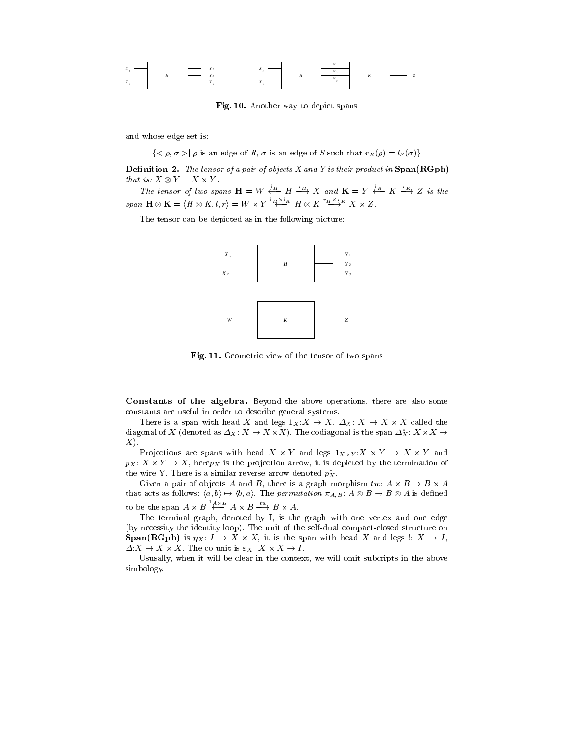

Fig. 10. Another way to depict spans

and whose edge set is:

 $\{\langle \rho, \sigma \rangle | \rho \text{ is an edge of } R, \sigma \text{ is an edge of } S \text{ such that } r_R(\rho) = l_S(\sigma) \}$ 

**Deminition 2.** The tensor of a pair of objects  $\Lambda$  and T is their product in Span(RGph) that is:  $X \otimes Y = X \times Y$ .

*vs:*  $X \otimes Y = X \times Y$ .<br>The tensor of two spans  $\mathbf{H} = W \stackrel{l_H}{\longleftarrow} H \stackrel{r_H}{\longrightarrow} X$  and  $\mathbf{K} = Y \stackrel{l_K}{\longleftarrow} K \stackrel{r_K}{\longrightarrow} Z$  is the  $span \mathbf{H} \otimes \mathbf{K} = \langle H \otimes K, l, r \rangle = W \times Y \stackrel{H \wedge \neg K}{\longleftarrow} H \otimes K \stackrel{H \wedge \neg K}{\longrightarrow} X \times Z.$ 

The tensor can be depicted as in the following picture:



Fig. 11. Geometric view of the tensor of two spans

Constants of the algebra. Beyond the above operations, there are also some constants are useful in order to describe general systems.

There is a span with head X and legs  $1_X: X \to X$ ,  $\varDelta_X: X \to X \times X$  called the diagonal of X (denoted as  $\varDelta_X\colon X\to X\times X$ ). The codiagonal is the span  $\varDelta_X\colon X\times X\to Y$  $X$ ).

Projections are spans with head  $X \times Y$  and legs  $1_{X \times Y} : X \times Y \rightarrow X \times Y$  and  $p_X: X \times Y \to X$ , here $p_X$  is the projection arrow, it is depicted by the termination of the wire  $\mathfrak x$  . There is a similar reverse arrow denoted  $p_X.$ 

Given a pair of objects A and B, there is a graph morphism  $tw\colon A\times B\to B\times A$ that acts as follows:  $\langle a, b \rangle \mapsto \langle b, a \rangle$ . The *permutation*  $\pi_{A,B}$ :  $A \otimes B \to B \otimes A$  is defined to be the span  $A \times B \stackrel{a.s.D}{\longleftrightarrow} A \times B \stackrel{a.s.}{\longrightarrow} B \times A$ .

The terminal graph, denoted by I, is the graph with one vertex and one edge (by necessity the identity loop). The unit of the self-dual compact-closed structure on **Span(RGph)** is  $\eta_X: I \to X \times X$ , it is the span with head X and legs  $\colon X \to I$ ,  $\Delta: X \to X \times X$ . The co-unit is  $\varepsilon_X: X \times X \to I$ .

Ususally, when it will be clear in the context, we will omit subcripts in the above simbology.